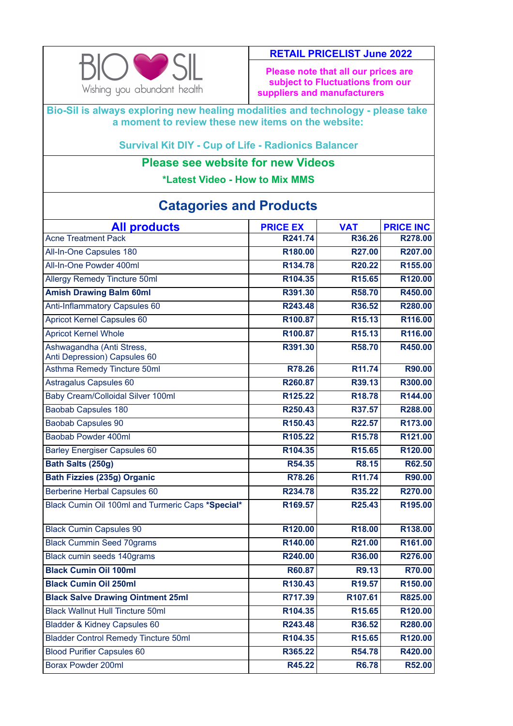

## **RETAIL PRICELIST June 2022**

**Please note that all our prices are subject to Fluctuations from our suppliers and manufacturers** 

**Bio-Sil is always exploring new healing modalities and technology - please take a moment to review these new items on the website:**

**Survival Kit DIY - Cup of Life - Radionics Balancer**

## **Please see website for new Videos**

**\*Latest Video - How to Mix MMS**

| <b>All products</b>                                       | <b>PRICE EX</b>     | <b>VAT</b>         | <b>PRICE INC</b> |
|-----------------------------------------------------------|---------------------|--------------------|------------------|
| <b>Acne Treatment Pack</b>                                | R241.74             | R36.26             | R278.00          |
| All-In-One Capsules 180                                   | R180.00             | R27.00             | R207.00          |
| All-In-One Powder 400ml                                   | R134.78             | R20.22             | R155.00          |
| <b>Allergy Remedy Tincture 50ml</b>                       | R104.35             | R15.65             | R120.00          |
| <b>Amish Drawing Balm 60ml</b>                            | R391.30             | R58.70             | R450.00          |
| Anti-Inflammatory Capsules 60                             | R243.48             | R36.52             | R280.00          |
| <b>Apricot Kernel Capsules 60</b>                         | R100.87             | R <sub>15.13</sub> | R116.00          |
| <b>Apricot Kernel Whole</b>                               | R100.87             | R <sub>15.13</sub> | R116.00          |
| Ashwagandha (Anti Stress,<br>Anti Depression) Capsules 60 | R391.30             | R58.70             | R450.00          |
| Asthma Remedy Tincture 50ml                               | R78.26              | R11.74             | R90.00           |
| Astragalus Capsules 60                                    | R260.87             | R39.13             | R300.00          |
| Baby Cream/Colloidal Silver 100ml                         | R125.22             | R <sub>18.78</sub> | R144.00          |
| <b>Baobab Capsules 180</b>                                | R250.43             | R37.57             | R288.00          |
| <b>Baobab Capsules 90</b>                                 | R150.43             | R22.57             | R173.00          |
| Baobab Powder 400ml                                       | R105.22             | R <sub>15.78</sub> | R121.00          |
| <b>Barley Energiser Capsules 60</b>                       | R104.35             | R15.65             | R120.00          |
| Bath Salts (250g)                                         | R54.35              | <b>R8.15</b>       | R62.50           |
| <b>Bath Fizzies (235g) Organic</b>                        | R78.26              | R11.74             | R90.00           |
| <b>Berberine Herbal Capsules 60</b>                       | R234.78             | R35.22             | R270.00          |
| Black Cumin Oil 100ml and Turmeric Caps *Special*         | R169.57             | R25.43             | R195.00          |
| <b>Black Cumin Capsules 90</b>                            | R <sub>120.00</sub> | R18.00             | R138.00          |
| <b>Black Cummin Seed 70grams</b>                          | R140.00             | R21.00             | R161.00          |
| Black cumin seeds 140grams                                | R240.00             | R36.00             | R276.00          |
| <b>Black Cumin Oil 100ml</b>                              | R60.87              | <b>R9.13</b>       | <b>R70.00</b>    |
| <b>Black Cumin Oil 250ml</b>                              | R130.43             | R19.57             | R150.00          |
| <b>Black Salve Drawing Ointment 25ml</b>                  | R717.39             | R107.61            | R825.00          |
| <b>Black Wallnut Hull Tincture 50ml</b>                   | R104.35             | R <sub>15.65</sub> | R120.00          |
| Bladder & Kidney Capsules 60                              | R243.48             | R36.52             | R280.00          |
| <b>Bladder Control Remedy Tincture 50ml</b>               | R104.35             | R15.65             | R120.00          |
| <b>Blood Purifier Capsules 60</b>                         | R365.22             | R54.78             | R420.00          |
| Borax Powder 200ml                                        | R45.22              | <b>R6.78</b>       | R52.00           |

## **Catagories and Products**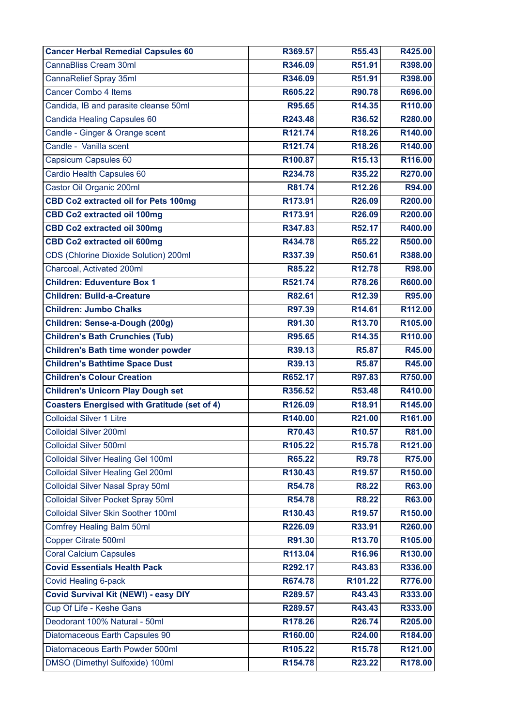| <b>Cancer Herbal Remedial Capsules 60</b>           | R369.57             | R55.43             | R425.00            |
|-----------------------------------------------------|---------------------|--------------------|--------------------|
| <b>CannaBliss Cream 30ml</b>                        | R346.09             | R51.91             | R398.00            |
| CannaRelief Spray 35ml                              | R346.09             | R51.91             | R398.00            |
| <b>Cancer Combo 4 Items</b>                         | R605.22             | R90.78             | R696.00            |
| Candida, IB and parasite cleanse 50ml               | R95.65              | R14.35             | R110.00            |
| Candida Healing Capsules 60                         | R243.48             | R36.52             | R280.00            |
| Candle - Ginger & Orange scent                      | R121.74             | R18.26             | R140.00            |
| Candle - Vanilla scent                              | R121.74             | R18.26             | R140.00            |
| Capsicum Capsules 60                                | R100.87             | R <sub>15.13</sub> | R116.00            |
| Cardio Health Capsules 60                           | R234.78             | R35.22             | R270.00            |
| Castor Oil Organic 200ml                            | R81.74              | R12.26             | R94.00             |
| <b>CBD Co2 extracted oil for Pets 100mg</b>         | R173.91             | R26.09             | R200.00            |
| <b>CBD Co2 extracted oil 100mg</b>                  | R173.91             | R26.09             | R200.00            |
| <b>CBD Co2 extracted oil 300mg</b>                  | R347.83             | R52.17             | R400.00            |
| <b>CBD Co2 extracted oil 600mg</b>                  | R434.78             | R65.22             | R500.00            |
| CDS (Chlorine Dioxide Solution) 200ml               | R337.39             | R50.61             | R388.00            |
| Charcoal, Activated 200ml                           | R85.22              | R <sub>12.78</sub> | R98.00             |
| <b>Children: Eduventure Box 1</b>                   | R521.74             | R78.26             | R600.00            |
| <b>Children: Build-a-Creature</b>                   | R82.61              | R12.39             | R95.00             |
| <b>Children: Jumbo Chalks</b>                       | R97.39              | R14.61             | R112.00            |
| Children: Sense-a-Dough (200g)                      | R91.30              | R13.70             | R105.00            |
| <b>Children's Bath Crunchies (Tub)</b>              | R95.65              | R14.35             | R110.00            |
| <b>Children's Bath time wonder powder</b>           | R39.13              | <b>R5.87</b>       | R45.00             |
| <b>Children's Bathtime Space Dust</b>               | R39.13              | <b>R5.87</b>       | R45.00             |
| <b>Children's Colour Creation</b>                   | R652.17             | R97.83             | R750.00            |
| <b>Children's Unicorn Play Dough set</b>            | R356.52             | R53.48             | R410.00            |
| <b>Coasters Energised with Gratitude (set of 4)</b> |                     | R18.91             |                    |
|                                                     | R126.09             |                    | R145.00            |
| <b>Colloidal Silver 1 Litre</b>                     | R140.00             | R21.00             | R161.00            |
| Colloidal Silver 200ml                              | R70.43              | R <sub>10.57</sub> | R81.00             |
| Colloidal Silver 500ml                              | R105.22             | R <sub>15.78</sub> | R121.00            |
| <b>Colloidal Silver Healing Gel 100ml</b>           | R65.22              | <b>R9.78</b>       | R75.00             |
| <b>Colloidal Silver Healing Gel 200ml</b>           | R <sub>130.43</sub> | R <sub>19.57</sub> | R150.00            |
| <b>Colloidal Silver Nasal Spray 50ml</b>            | R54.78              | <b>R8.22</b>       | R63.00             |
| <b>Colloidal Silver Pocket Spray 50ml</b>           | R54.78              | <b>R8.22</b>       | R63.00             |
| Colloidal Silver Skin Soother 100ml                 | R130.43             | R <sub>19.57</sub> | R150.00            |
| Comfrey Healing Balm 50ml                           | R226.09             | R33.91             | R260.00            |
| <b>Copper Citrate 500ml</b>                         | R91.30              | R13.70             | R105.00            |
| <b>Coral Calcium Capsules</b>                       | R113.04             | R16.96             | R130.00            |
| <b>Covid Essentials Health Pack</b>                 | R292.17             | R43.83             | R336.00            |
| Covid Healing 6-pack                                | R674.78             | R101.22            | R776.00            |
| <b>Covid Survival Kit (NEW!) - easy DIY</b>         | R289.57             | R43.43             | R333.00            |
| Cup Of Life - Keshe Gans                            | R289.57             | R43.43             | R333.00            |
| Deodorant 100% Natural - 50ml                       | R178.26             | R26.74             | R205.00            |
| Diatomaceous Earth Capsules 90                      | R160.00             | R24.00             | R184.00            |
| Diatomaceous Earth Powder 500ml                     | R105.22<br>R154.78  | R <sub>15.78</sub> | R121.00<br>R178.00 |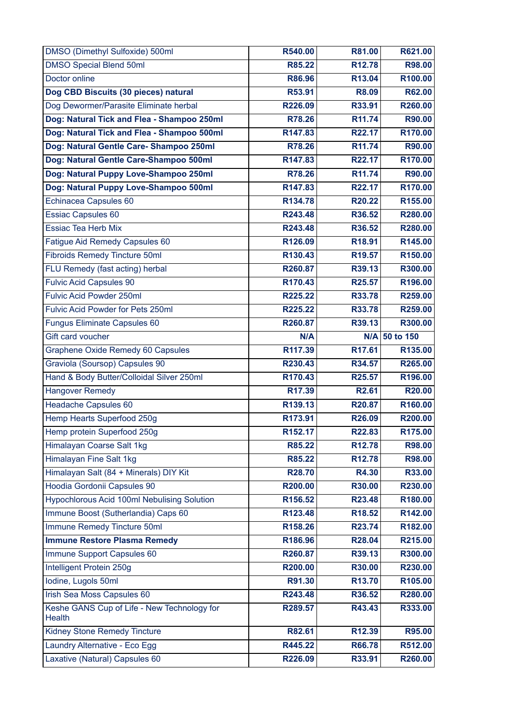| DMSO (Dimethyl Sulfoxide) 500ml                              | R540.00 | R81.00             | R621.00             |
|--------------------------------------------------------------|---------|--------------------|---------------------|
| <b>DMSO Special Blend 50ml</b>                               | R85.22  | R <sub>12.78</sub> | R98.00              |
| Doctor online                                                | R86.96  | R13.04             | R <sub>100.00</sub> |
| Dog CBD Biscuits (30 pieces) natural                         | R53.91  | <b>R8.09</b>       | R62.00              |
| Dog Dewormer/Parasite Eliminate herbal                       | R226.09 | R33.91             | R260.00             |
| Dog: Natural Tick and Flea - Shampoo 250ml                   | R78.26  | R11.74             | R90.00              |
| Dog: Natural Tick and Flea - Shampoo 500ml                   | R147.83 | R22.17             | R170.00             |
| Dog: Natural Gentle Care- Shampoo 250ml                      | R78.26  | R11.74             | R90.00              |
| Dog: Natural Gentle Care-Shampoo 500ml                       | R147.83 | R22.17             | R170.00             |
| Dog: Natural Puppy Love-Shampoo 250ml                        | R78.26  | R11.74             | R90.00              |
| Dog: Natural Puppy Love-Shampoo 500ml                        | R147.83 | R22.17             | R170.00             |
| Echinacea Capsules 60                                        | R134.78 | R20.22             | R155.00             |
| <b>Essiac Capsules 60</b>                                    | R243.48 | R36.52             | R280.00             |
| <b>Essiac Tea Herb Mix</b>                                   | R243.48 | R36.52             | R280.00             |
| Fatigue Aid Remedy Capsules 60                               | R126.09 | R18.91             | R145.00             |
| <b>Fibroids Remedy Tincture 50ml</b>                         | R130.43 | R <sub>19.57</sub> | R150.00             |
| FLU Remedy (fast acting) herbal                              | R260.87 | R39.13             | R300.00             |
| <b>Fulvic Acid Capsules 90</b>                               | R170.43 | R25.57             | R196.00             |
| <b>Fulvic Acid Powder 250ml</b>                              | R225.22 | R33.78             | R259.00             |
| Fulvic Acid Powder for Pets 250ml                            | R225.22 | R33.78             | R259.00             |
| <b>Fungus Eliminate Capsules 60</b>                          | R260.87 | R39.13             | R300.00             |
| Gift card voucher                                            | N/A     |                    | N/A 50 to 150       |
| Graphene Oxide Remedy 60 Capsules                            | R117.39 | R <sub>17.61</sub> | R135.00             |
| Graviola (Soursop) Capsules 90                               | R230.43 | R34.57             | R265.00             |
| Hand & Body Butter/Colloidal Silver 250ml                    | R170.43 | R25.57             | R196.00             |
|                                                              |         |                    |                     |
| <b>Hangover Remedy</b>                                       | R17.39  | R2.61              | R20.00              |
| <b>Headache Capsules 60</b>                                  | R139.13 | R20.87             | R160.00             |
| Hemp Hearts Superfood 250g                                   | R173.91 | R26.09             | R200.00             |
| Hemp protein Superfood 250g                                  | R152.17 | R22.83             | R175.00             |
| Himalayan Coarse Salt 1kg                                    | R85.22  | R <sub>12.78</sub> | R98.00              |
| Himalayan Fine Salt 1kg                                      | R85.22  | R <sub>12.78</sub> | R98.00              |
| Himalayan Salt (84 + Minerals) DIY Kit                       | R28.70  | R4.30              | R33.00              |
| Hoodia Gordonii Capsules 90                                  | R200.00 | R30.00             | R230.00             |
| <b>Hypochlorous Acid 100ml Nebulising Solution</b>           | R156.52 | R23.48             | R180.00             |
| Immune Boost (Sutherlandia) Caps 60                          | R123.48 | R <sub>18.52</sub> | R142.00             |
| Immune Remedy Tincture 50ml                                  | R158.26 | R23.74             | R182.00             |
| <b>Immune Restore Plasma Remedy</b>                          | R186.96 | R28.04             | R215.00             |
| Immune Support Capsules 60                                   | R260.87 | R39.13             | R300.00             |
| Intelligent Protein 250g                                     | R200.00 | R30.00             | R230.00             |
| Iodine, Lugols 50ml                                          | R91.30  | R13.70             | R105.00             |
| Irish Sea Moss Capsules 60                                   | R243.48 | R36.52             | R280.00             |
| Keshe GANS Cup of Life - New Technology for<br><b>Health</b> | R289.57 | R43.43             | R333.00             |
| <b>Kidney Stone Remedy Tincture</b>                          | R82.61  | R12.39             | R95.00              |
| Laundry Alternative - Eco Egg                                | R445.22 | R66.78             | R512.00             |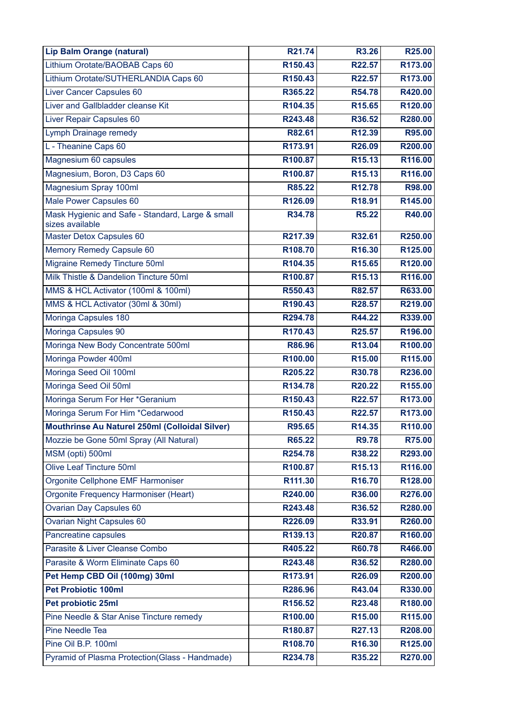| <b>Lip Balm Orange (natural)</b>                                    | R21.74  | <b>R3.26</b>       | R25.00  |
|---------------------------------------------------------------------|---------|--------------------|---------|
| Lithium Orotate/BAOBAB Caps 60                                      | R150.43 | R22.57             | R173.00 |
| Lithium Orotate/SUTHERLANDIA Caps 60                                | R150.43 | R22.57             | R173.00 |
| Liver Cancer Capsules 60                                            | R365.22 | R54.78             | R420.00 |
| Liver and Gallbladder cleanse Kit                                   | R104.35 | R <sub>15.65</sub> | R120.00 |
| Liver Repair Capsules 60                                            | R243.48 | R36.52             | R280.00 |
| Lymph Drainage remedy                                               | R82.61  | R12.39             | R95.00  |
| L - Theanine Caps 60                                                | R173.91 | R26.09             | R200.00 |
| Magnesium 60 capsules                                               | R100.87 | R <sub>15.13</sub> | R116.00 |
| Magnesium, Boron, D3 Caps 60                                        | R100.87 | R <sub>15.13</sub> | R116.00 |
| Magnesium Spray 100ml                                               | R85.22  | R <sub>12.78</sub> | R98.00  |
| Male Power Capsules 60                                              | R126.09 | R18.91             | R145.00 |
| Mask Hygienic and Safe - Standard, Large & small<br>sizes available | R34.78  | <b>R5.22</b>       | R40.00  |
| Master Detox Capsules 60                                            | R217.39 | R32.61             | R250.00 |
| Memory Remedy Capsule 60                                            | R108.70 | R16.30             | R125.00 |
| <b>Migraine Remedy Tincture 50ml</b>                                | R104.35 | R <sub>15.65</sub> | R120.00 |
| Milk Thistle & Dandelion Tincture 50ml                              | R100.87 | R <sub>15.13</sub> | R116.00 |
| MMS & HCL Activator (100ml & 100ml)                                 | R550.43 | R82.57             | R633.00 |
| MMS & HCL Activator (30ml & 30ml)                                   | R190.43 | R28.57             | R219.00 |
| Moringa Capsules 180                                                | R294.78 | R44.22             | R339.00 |
| Moringa Capsules 90                                                 | R170.43 | R25.57             | R196.00 |
| Moringa New Body Concentrate 500ml                                  | R86.96  | R13.04             | R100.00 |
| Moringa Powder 400ml                                                | R100.00 | R <sub>15.00</sub> | R115.00 |
| Moringa Seed Oil 100ml                                              | R205.22 | R30.78             | R236.00 |
| Moringa Seed Oil 50ml                                               | R134.78 | R <sub>20.22</sub> | R155.00 |
| Moringa Serum For Her *Geranium                                     | R150.43 | R22.57             | R173.00 |
| Moringa Serum For Him *Cedarwood                                    | R150.43 | R22.57             | R173.00 |
| Mouthrinse Au Naturel 250ml (Colloidal Silver)                      | R95.65  | R14.35             | R110.00 |
| Mozzie be Gone 50ml Spray (All Natural)                             | R65.22  | <b>R9.78</b>       | R75.00  |
| MSM (opti) 500ml                                                    | R254.78 | R38.22             | R293.00 |
| <b>Olive Leaf Tincture 50ml</b>                                     | R100.87 | R <sub>15.13</sub> | R116.00 |
| Orgonite Cellphone EMF Harmoniser                                   | R111.30 | R <sub>16.70</sub> | R128.00 |
| Orgonite Frequency Harmoniser (Heart)                               | R240.00 | R36.00             | R276.00 |
| <b>Ovarian Day Capsules 60</b>                                      | R243.48 | R36.52             | R280.00 |
| <b>Ovarian Night Capsules 60</b>                                    | R226.09 | R33.91             | R260.00 |
| Pancreatine capsules                                                | R139.13 | R20.87             | R160.00 |
| Parasite & Liver Cleanse Combo                                      | R405.22 | R60.78             | R466.00 |
| Parasite & Worm Eliminate Caps 60                                   | R243.48 | R36.52             | R280.00 |
| Pet Hemp CBD Oil (100mg) 30ml                                       | R173.91 | R26.09             | R200.00 |
| <b>Pet Probiotic 100ml</b>                                          | R286.96 | R43.04             | R330.00 |
| Pet probiotic 25ml                                                  | R156.52 | R23.48             | R180.00 |
| Pine Needle & Star Anise Tincture remedy                            | R100.00 | R <sub>15.00</sub> | R115.00 |
| Pine Needle Tea                                                     | R180.87 | R27.13             | R208.00 |
| Pine Oil B.P. 100ml                                                 | R108.70 | R16.30             | R125.00 |
| Pyramid of Plasma Protection(Glass - Handmade)                      | R234.78 | R35.22             | R270.00 |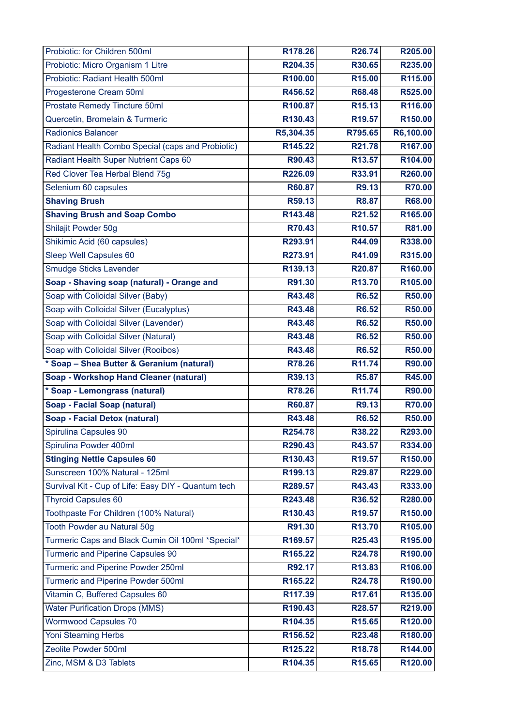| Probiotic: for Children 500ml                       | R <sub>178.26</sub>            | R26.74             | R205.00            |
|-----------------------------------------------------|--------------------------------|--------------------|--------------------|
| Probiotic: Micro Organism 1 Litre                   | R204.35                        | R30.65             | R235.00            |
| Probiotic: Radiant Health 500ml                     | R100.00                        | R15.00             | R115.00            |
| Progesterone Cream 50ml                             | R456.52                        | R68.48             | R525.00            |
| Prostate Remedy Tincture 50ml                       | R100.87                        | R <sub>15.13</sub> | R116.00            |
| Quercetin, Bromelain & Turmeric                     | R130.43                        | R <sub>19.57</sub> | R150.00            |
| <b>Radionics Balancer</b>                           | R5,304.35                      | R795.65            | R6,100.00          |
| Radiant Health Combo Special (caps and Probiotic)   | R145.22                        | R21.78             | R167.00            |
| Radiant Health Super Nutrient Caps 60               | R90.43                         | R13.57             | R104.00            |
| Red Clover Tea Herbal Blend 75g                     | R226.09                        | R33.91             | R260.00            |
| Selenium 60 capsules                                | R60.87                         | <b>R9.13</b>       | <b>R70.00</b>      |
| <b>Shaving Brush</b>                                | R59.13                         | <b>R8.87</b>       | R68.00             |
| <b>Shaving Brush and Soap Combo</b>                 | R143.48                        | R21.52             | R165.00            |
| Shilajit Powder 50g                                 | R70.43                         | R <sub>10.57</sub> | R81.00             |
| Shikimic Acid (60 capsules)                         | R293.91                        | R44.09             | R338.00            |
| Sleep Well Capsules 60                              | R273.91                        | R41.09             | R315.00            |
| Smudge Sticks Lavender                              | R139.13                        | R20.87             | R160.00            |
| Soap - Shaving soap (natural) - Orange and          | R91.30                         | R13.70             | R105.00            |
| Soap with Colloidal Silver (Baby)                   | R43.48                         | <b>R6.52</b>       | R50.00             |
| Soap with Colloidal Silver (Eucalyptus)             | R43.48                         | R6.52              | R50.00             |
| Soap with Colloidal Silver (Lavender)               | R43.48                         | R6.52              | R50.00             |
| Soap with Colloidal Silver (Natural)                | R43.48                         | R6.52              | R50.00             |
| Soap with Colloidal Silver (Rooibos)                | R43.48                         | R6.52              | R50.00             |
| * Soap - Shea Butter & Geranium (natural)           | R78.26                         | R11.74             | R90.00             |
| <b>Soap - Workshop Hand Cleaner (natural)</b>       | R39.13                         | <b>R5.87</b>       | R45.00             |
| * Soap - Lemongrass (natural)                       | R78.26                         | R11.74             | R90.00             |
| <b>Soap - Facial Soap (natural)</b>                 | R60.87                         | R9.13              | R70.00             |
| <b>Soap - Facial Detox (natural)</b>                | R43.48                         | <b>R6.52</b>       | R50.00             |
| Spirulina Capsules 90                               | R254.78                        | R38.22             | R293.00            |
| Spirulina Powder 400ml                              | R290.43                        | R43.57             | R334.00            |
| <b>Stinging Nettle Capsules 60</b>                  | R130.43                        | R <sub>19.57</sub> | R150.00            |
| Sunscreen 100% Natural - 125ml                      | R199.13                        | R29.87             | R229.00            |
| Survival Kit - Cup of Life: Easy DIY - Quantum tech | R289.57                        | R43.43             | R333.00            |
| <b>Thyroid Capsules 60</b>                          | R243.48                        | R36.52             | R280.00            |
| Toothpaste For Children (100% Natural)              | R130.43                        | R <sub>19.57</sub> | R150.00            |
| Tooth Powder au Natural 50g                         | R91.30                         | R13.70             | R105.00            |
| Turmeric Caps and Black Cumin Oil 100ml *Special*   | R169.57                        | R25.43             | R195.00            |
| <b>Turmeric and Piperine Capsules 90</b>            | R165.22                        | R24.78             | R190.00            |
| Turmeric and Piperine Powder 250ml                  | R92.17                         | R13.83             | R106.00            |
| Turmeric and Piperine Powder 500ml                  | R165.22                        | R24.78             | R190.00            |
| Vitamin C, Buffered Capsules 60                     | R117.39                        | R17.61             | R135.00            |
| <b>Water Purification Drops (MMS)</b>               | R190.43                        | R28.57             | R219.00            |
| <b>Wormwood Capsules 70</b>                         | R104.35                        | R <sub>15.65</sub> | R120.00            |
| <b>Yoni Steaming Herbs</b>                          | R156.52                        | R23.48             | R180.00            |
| Zeolite Powder 500ml                                |                                |                    |                    |
| Zinc, MSM & D3 Tablets                              | R125.22<br>R <sub>104.35</sub> | R18.78             | R144.00<br>R120.00 |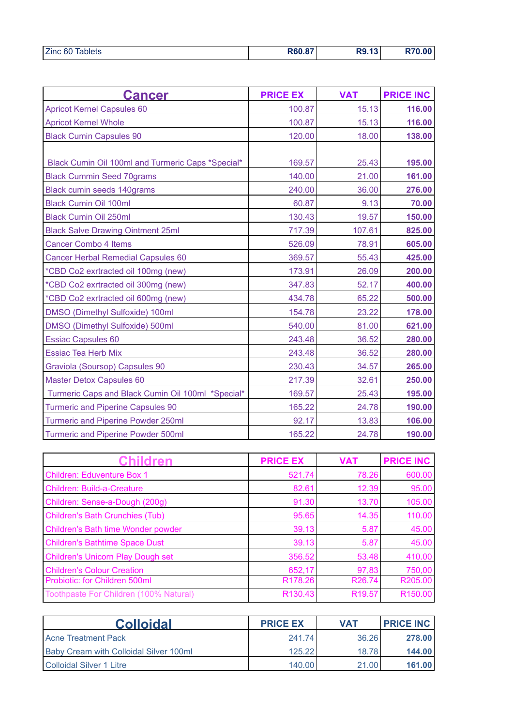| <b>Cancer</b>                                     | <b>PRICE EX</b> | <b>VAT</b> | <b>PRICE INC</b> |
|---------------------------------------------------|-----------------|------------|------------------|
| <b>Apricot Kernel Capsules 60</b>                 | 100.87          | 15.13      | 116.00           |
| <b>Apricot Kernel Whole</b>                       | 100.87          | 15.13      | 116.00           |
| <b>Black Cumin Capsules 90</b>                    | 120.00          | 18.00      | 138.00           |
|                                                   |                 |            |                  |
| Black Cumin Oil 100ml and Turmeric Caps *Special* | 169.57          | 25.43      | 195.00           |
| <b>Black Cummin Seed 70grams</b>                  | 140.00          | 21.00      | 161.00           |
| <b>Black cumin seeds 140grams</b>                 | 240.00          | 36.00      | 276.00           |
| <b>Black Cumin Oil 100ml</b>                      | 60.87           | 9.13       | 70.00            |
| <b>Black Cumin Oil 250ml</b>                      | 130.43          | 19.57      | 150.00           |
| <b>Black Salve Drawing Ointment 25ml</b>          | 717.39          | 107.61     | 825.00           |
| <b>Cancer Combo 4 Items</b>                       | 526.09          | 78.91      | 605.00           |
| <b>Cancer Herbal Remedial Capsules 60</b>         | 369.57          | 55.43      | 425.00           |
| *CBD Co2 exrtracted oil 100mg (new)               | 173.91          | 26.09      | 200.00           |
| *CBD Co2 exrtracted oil 300mg (new)               | 347.83          | 52.17      | 400.00           |
| *CBD Co2 exrtracted oil 600mg (new)               | 434.78          | 65.22      | 500.00           |
| <b>DMSO</b> (Dimethyl Sulfoxide) 100ml            | 154.78          | 23.22      | 178.00           |
| DMSO (Dimethyl Sulfoxide) 500ml                   | 540.00          | 81.00      | 621.00           |
| <b>Essiac Capsules 60</b>                         | 243.48          | 36.52      | 280.00           |
| <b>Essiac Tea Herb Mix</b>                        | 243.48          | 36.52      | 280.00           |
| Graviola (Soursop) Capsules 90                    | 230.43          | 34.57      | 265.00           |
| <b>Master Detox Capsules 60</b>                   | 217.39          | 32.61      | 250.00           |
| Turmeric Caps and Black Cumin Oil 100ml *Special* | 169.57          | 25.43      | 195.00           |
| <b>Turmeric and Piperine Capsules 90</b>          | 165.22          | 24.78      | 190.00           |
| <b>Turmeric and Piperine Powder 250ml</b>         | 92.17           | 13.83      | 106.00           |
| <b>Turmeric and Piperine Powder 500ml</b>         | 165.22          | 24.78      | 190.00           |

| hildren                                  | <b>PRICE EX</b>     | <b>VAT</b>         | <b>PRICE INC</b>    |
|------------------------------------------|---------------------|--------------------|---------------------|
| <b>Children: Eduventure Box 1</b>        | 521.74              | 78.26              | 600.00              |
| <b>Children: Build-a-Creature</b>        | 82.61               | 12.39              | 95.00               |
| Children: Sense-a-Dough (200g)           | 91.30               | 13.70              | 105.00              |
| <b>Children's Bath Crunchies (Tub)</b>   | 95.65               | 14.35              | 110.00              |
| Children's Bath time Wonder powder       | 39.13               | 5.87               | 45.00               |
| <b>Children's Bathtime Space Dust</b>    | 39.13               | 5.87               | 45.00               |
| <b>Children's Unicorn Play Dough set</b> | 356.52              | 53.48              | 410.00              |
| <b>Children's Colour Creation</b>        | 652,17              | 97,83              | 750,00              |
| Probiotic: for Children 500ml            | R <sub>178.26</sub> | R <sub>26.74</sub> | R205.00             |
| Toothpaste For Children (100% Natural)   | R130.43             | R <sub>19.57</sub> | R <sub>150.00</sub> |

| <b>Colloidal</b>                              | <b>PRICE EX</b> | <b>VAT</b> | <b>PRICE INC</b> |
|-----------------------------------------------|-----------------|------------|------------------|
| <b>Acne Treatment Pack</b>                    | 241.74          | 36.26      | 278.00           |
| <b>Baby Cream with Colloidal Silver 100ml</b> | 125.22          | 18.78      | 144.00           |
| Colloidal Silver 1 Litre                      | 140.00          | 21.00      | 161.00           |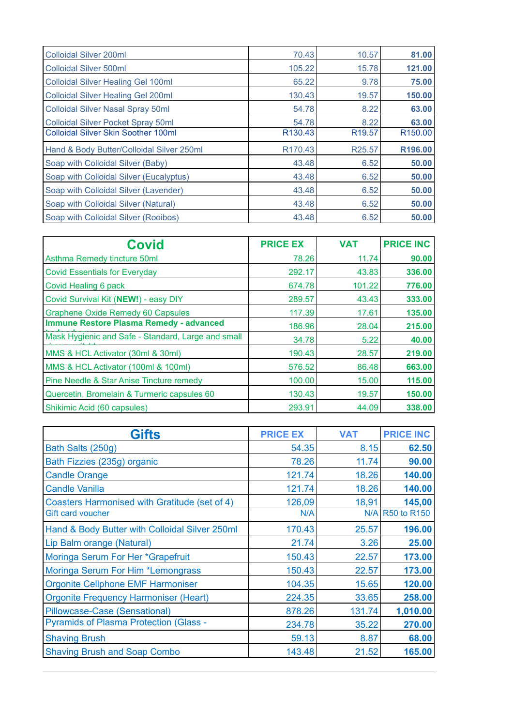| <b>Colloidal Silver 200ml</b>              | 70.43               | 10.57              | 81.00               |
|--------------------------------------------|---------------------|--------------------|---------------------|
| <b>Colloidal Silver 500ml</b>              | 105.22              | 15.78              | 121.00              |
| <b>Colloidal Silver Healing Gel 100ml</b>  | 65.22               | 9.78               | 75.00               |
| <b>Colloidal Silver Healing Gel 200ml</b>  | 130.43              | 19.57              | 150.00              |
| <b>Colloidal Silver Nasal Spray 50ml</b>   | 54.78               | 8.22               | 63.00               |
| <b>Colloidal Silver Pocket Spray 50ml</b>  | 54.78               | 8.22               | 63.00               |
| <b>Colloidal Silver Skin Soother 100ml</b> | R <sub>130.43</sub> | R <sub>19.57</sub> | R <sub>150.00</sub> |
| Hand & Body Butter/Colloidal Silver 250ml  | R170.43             | R25.57             | R196.00             |
| Soap with Colloidal Silver (Baby)          | 43.48               | 6.52               | 50.00               |
| Soap with Colloidal Silver (Eucalyptus)    | 43.48               | 6.52               | 50.00               |
| Soap with Colloidal Silver (Lavender)      | 43.48               | 6.52               | 50.00               |
| Soap with Colloidal Silver (Natural)       | 43.48               | 6.52               | 50.00               |
| Soap with Colloidal Silver (Rooibos)       | 43.48               | 6.52               | 50.00               |

| Covid                                              | <b>PRICE EX</b> | <b>VAT</b> | <b>PRICE INC</b> |
|----------------------------------------------------|-----------------|------------|------------------|
| Asthma Remedy tincture 50ml                        | 78.26           | 11.74      | 90.00            |
| <b>Covid Essentials for Everyday</b>               | 292.17          | 43.83      | 336.00           |
| Covid Healing 6 pack                               | 674.78          | 101.22     | 776.00           |
| Covid Survival Kit (NEW!) - easy DIY               | 289.57          | 43.43      | 333.00           |
| <b>Graphene Oxide Remedy 60 Capsules</b>           | 117.39          | 17.61      | 135.00           |
| <b>Immune Restore Plasma Remedy - advanced</b>     | 186.96          | 28.04      | 215.00           |
| Mask Hygienic and Safe - Standard, Large and small | 34.78           | 5.22       | 40.00            |
| MMS & HCL Activator (30ml & 30ml)                  | 190.43          | 28.57      | 219.00           |
| MMS & HCL Activator (100ml & 100ml)                | 576.52          | 86.48      | 663.00           |
| Pine Needle & Star Anise Tincture remedy           | 100.00          | 15.00      | 115.00           |
| Quercetin, Bromelain & Turmeric capsules 60        | 130.43          | 19.57      | 150.00           |
| Shikimic Acid (60 capsules)                        | 293.91          | 44.09      | 338.00           |

| Gifts                                          | <b>PRICE EX</b> | <b>VAT</b> | <b>PRICE INC</b> |
|------------------------------------------------|-----------------|------------|------------------|
| Bath Salts (250g)                              | 54.35           | 8.15       | 62.50            |
| Bath Fizzies (235g) organic                    | 78.26           | 11.74      | 90.00            |
| <b>Candle Orange</b>                           | 121.74          | 18.26      | 140.00           |
| <b>Candle Vanilla</b>                          | 121.74          | 18.26      | 140.00           |
| Coasters Harmonised with Gratitude (set of 4)  | 126,09          | 18,91      | 145,00           |
| Gift card voucher                              | N/A             |            | N/A R50 to R150  |
| Hand & Body Butter with Colloidal Silver 250ml | 170.43          | 25.57      | 196.00           |
| Lip Balm orange (Natural)                      | 21.74           | 3.26       | 25.00            |
| Moringa Serum For Her *Grapefruit              | 150.43          | 22.57      | 173.00           |
| Moringa Serum For Him *Lemongrass              | 150.43          | 22.57      | 173.00           |
| <b>Orgonite Cellphone EMF Harmoniser</b>       | 104.35          | 15.65      | 120.00           |
| <b>Orgonite Frequency Harmoniser (Heart)</b>   | 224.35          | 33.65      | 258.00           |
| Pillowcase-Case (Sensational)                  | 878.26          | 131.74     | 1,010.00         |
| <b>Pyramids of Plasma Protection (Glass -</b>  | 234.78          | 35.22      | 270.00           |
| <b>Shaving Brush</b>                           | 59.13           | 8.87       | 68.00            |
| <b>Shaving Brush and Soap Combo</b>            | 143.48          | 21.52      | 165.00           |